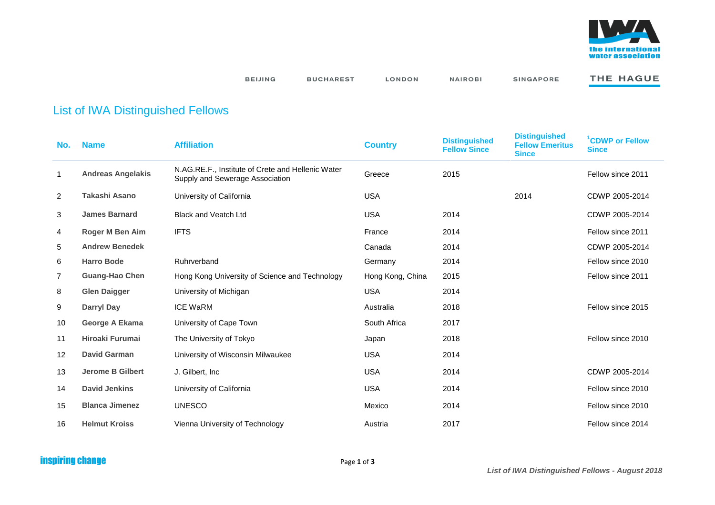

**BEIJING** 

**BUCHAREST** LONDON **NAIROBI** 

SINGAPORE

THE HAGUE

## List of IWA Distinguished Fellows

| No.            | <b>Name</b>              | <b>Affiliation</b>                                                                   | <b>Country</b>   | <b>Distinguished</b><br><b>Fellow Since</b> | <b>Distinguished</b><br><b>Fellow Emeritus</b><br><b>Since</b> | <sup>1</sup> CDWP or Fellow<br><b>Since</b> |
|----------------|--------------------------|--------------------------------------------------------------------------------------|------------------|---------------------------------------------|----------------------------------------------------------------|---------------------------------------------|
| 1              | <b>Andreas Angelakis</b> | N.AG.RE.F., Institute of Crete and Hellenic Water<br>Supply and Sewerage Association | Greece           | 2015                                        |                                                                | Fellow since 2011                           |
| $\overline{2}$ | Takashi Asano            | University of California                                                             | <b>USA</b>       |                                             | 2014                                                           | CDWP 2005-2014                              |
| 3              | <b>James Barnard</b>     | <b>Black and Veatch Ltd</b>                                                          | <b>USA</b>       | 2014                                        |                                                                | CDWP 2005-2014                              |
| 4              | Roger M Ben Aim          | <b>IFTS</b>                                                                          | France           | 2014                                        |                                                                | Fellow since 2011                           |
| 5              | <b>Andrew Benedek</b>    |                                                                                      | Canada           | 2014                                        |                                                                | CDWP 2005-2014                              |
| 6              | <b>Harro Bode</b>        | Ruhrverband                                                                          | Germany          | 2014                                        |                                                                | Fellow since 2010                           |
| 7              | <b>Guang-Hao Chen</b>    | Hong Kong University of Science and Technology                                       | Hong Kong, China | 2015                                        |                                                                | Fellow since 2011                           |
| 8              | <b>Glen Daigger</b>      | University of Michigan                                                               | <b>USA</b>       | 2014                                        |                                                                |                                             |
| 9              | <b>Darryl Day</b>        | <b>ICE WaRM</b>                                                                      | Australia        | 2018                                        |                                                                | Fellow since 2015                           |
| 10             | <b>George A Ekama</b>    | University of Cape Town                                                              | South Africa     | 2017                                        |                                                                |                                             |
| 11             | <b>Hiroaki Furumai</b>   | The University of Tokyo                                                              | Japan            | 2018                                        |                                                                | Fellow since 2010                           |
| 12             | <b>David Garman</b>      | University of Wisconsin Milwaukee                                                    | <b>USA</b>       | 2014                                        |                                                                |                                             |
| 13             | <b>Jerome B Gilbert</b>  | J. Gilbert, Inc.                                                                     | <b>USA</b>       | 2014                                        |                                                                | CDWP 2005-2014                              |
| 14             | <b>David Jenkins</b>     | University of California                                                             | <b>USA</b>       | 2014                                        |                                                                | Fellow since 2010                           |
| 15             | <b>Blanca Jimenez</b>    | <b>UNESCO</b>                                                                        | Mexico           | 2014                                        |                                                                | Fellow since 2010                           |
| 16             | <b>Helmut Kroiss</b>     | Vienna University of Technology                                                      | Austria          | 2017                                        |                                                                | Fellow since 2014                           |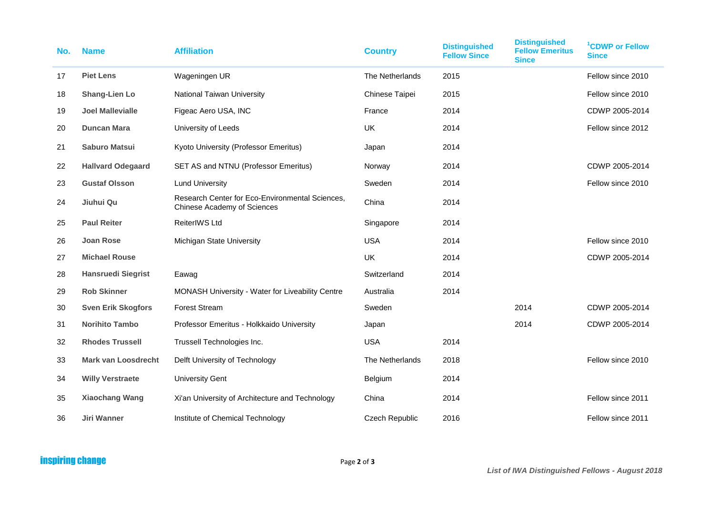| No. | <b>Name</b>                | <b>Affiliation</b>                                                             | <b>Country</b>        | <b>Distinguished</b><br><b>Fellow Since</b> | <b>Distinguished</b><br><b>Fellow Emeritus</b><br><b>Since</b> | <sup>1</sup> CDWP or Fellow<br><b>Since</b> |
|-----|----------------------------|--------------------------------------------------------------------------------|-----------------------|---------------------------------------------|----------------------------------------------------------------|---------------------------------------------|
| 17  | <b>Piet Lens</b>           | Wageningen UR                                                                  | The Netherlands       | 2015                                        |                                                                | Fellow since 2010                           |
| 18  | <b>Shang-Lien Lo</b>       | <b>National Taiwan University</b>                                              | Chinese Taipei        | 2015                                        |                                                                | Fellow since 2010                           |
| 19  | <b>Joel Mallevialle</b>    | Figeac Aero USA, INC                                                           | France                | 2014                                        |                                                                | CDWP 2005-2014                              |
| 20  | <b>Duncan Mara</b>         | University of Leeds                                                            | <b>UK</b>             | 2014                                        |                                                                | Fellow since 2012                           |
| 21  | <b>Saburo Matsui</b>       | Kyoto University (Professor Emeritus)                                          | Japan                 | 2014                                        |                                                                |                                             |
| 22  | <b>Hallvard Odegaard</b>   | SET AS and NTNU (Professor Emeritus)                                           | Norway                | 2014                                        |                                                                | CDWP 2005-2014                              |
| 23  | <b>Gustaf Olsson</b>       | <b>Lund University</b>                                                         | Sweden                | 2014                                        |                                                                | Fellow since 2010                           |
| 24  | Jiuhui Qu                  | Research Center for Eco-Environmental Sciences,<br>Chinese Academy of Sciences | China                 | 2014                                        |                                                                |                                             |
| 25  | <b>Paul Reiter</b>         | ReiterIWS Ltd                                                                  | Singapore             | 2014                                        |                                                                |                                             |
| 26  | <b>Joan Rose</b>           | Michigan State University                                                      | <b>USA</b>            | 2014                                        |                                                                | Fellow since 2010                           |
| 27  | <b>Michael Rouse</b>       |                                                                                | <b>UK</b>             | 2014                                        |                                                                | CDWP 2005-2014                              |
| 28  | <b>Hansruedi Siegrist</b>  | Eawag                                                                          | Switzerland           | 2014                                        |                                                                |                                             |
| 29  | <b>Rob Skinner</b>         | MONASH University - Water for Liveability Centre                               | Australia             | 2014                                        |                                                                |                                             |
| 30  | <b>Sven Erik Skogfors</b>  | <b>Forest Stream</b>                                                           | Sweden                |                                             | 2014                                                           | CDWP 2005-2014                              |
| 31  | <b>Norihito Tambo</b>      | Professor Emeritus - Holkkaido University                                      | Japan                 |                                             | 2014                                                           | CDWP 2005-2014                              |
| 32  | <b>Rhodes Trussell</b>     | Trussell Technologies Inc.                                                     | <b>USA</b>            | 2014                                        |                                                                |                                             |
| 33  | <b>Mark van Loosdrecht</b> | Delft University of Technology                                                 | The Netherlands       | 2018                                        |                                                                | Fellow since 2010                           |
| 34  | <b>Willy Verstraete</b>    | <b>University Gent</b>                                                         | Belgium               | 2014                                        |                                                                |                                             |
| 35  | <b>Xiaochang Wang</b>      | Xi'an University of Architecture and Technology                                | China                 | 2014                                        |                                                                | Fellow since 2011                           |
| 36  | Jiri Wanner                | Institute of Chemical Technology                                               | <b>Czech Republic</b> | 2016                                        |                                                                | Fellow since 2011                           |